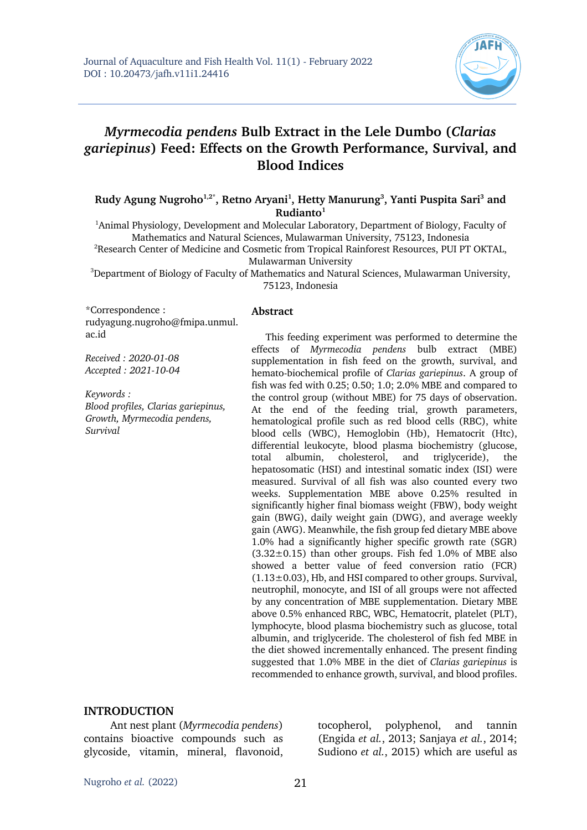

# *Myrmecodia pendens* **Bulb Extract in the Lele Dumbo (***Clarias gariepinus***) Feed: Effects on the Growth Performance, Survival, and Blood Indices**

#### Rudy Agung Nugroho<sup>1,2\*</sup>, Retno Aryani<sup>1</sup>, Hetty Manurung<sup>3</sup>, Yanti Puspita Sari<sup>3</sup> and **Rudianto1**

<sup>1</sup>Animal Physiology, Development and Molecular Laboratory, Department of Biology, Faculty of Mathematics and Natural Sciences, Mulawarman University, 75123, Indonesia

<sup>2</sup>Research Center of Medicine and Cosmetic from Tropical Rainforest Resources, PUI PT OKTAL, Mulawarman University

 $3$ Department of Biology of Faculty of Mathematics and Natural Sciences, Mulawarman University, 75123, Indonesia

\*Correspondence : rudyagung.nugroho@fmipa.unmul. ac.id

*Received : 2020-01-08 Accepted : 2021-10-04*

*Keywords : Blood profiles, Clarias gariepinus, Growth, Myrmecodia pendens, Survival*

#### **Abstract**

This feeding experiment was performed to determine the effects of *Myrmecodia pendens* bulb extract (MBE) supplementation in fish feed on the growth, survival, and hemato-biochemical profile of *Clarias gariepinus*. A group of fish was fed with 0.25; 0.50; 1.0; 2.0% MBE and compared to the control group (without MBE) for 75 days of observation. At the end of the feeding trial, growth parameters, hematological profile such as red blood cells (RBC), white blood cells (WBC), Hemoglobin (Hb), Hematocrit (Htc), differential leukocyte, blood plasma biochemistry (glucose, total albumin, cholesterol, and triglyceride), the hepatosomatic (HSI) and intestinal somatic index (ISI) were measured. Survival of all fish was also counted every two weeks. Supplementation MBE above 0.25% resulted in significantly higher final biomass weight (FBW), body weight gain (BWG), daily weight gain (DWG), and average weekly gain (AWG). Meanwhile, the fish group fed dietary MBE above 1.0% had a significantly higher specific growth rate (SGR)  $(3.32\pm0.15)$  than other groups. Fish fed 1.0% of MBE also showed a better value of feed conversion ratio (FCR)  $(1.13\pm0.03)$ , Hb, and HSI compared to other groups. Survival, neutrophil, monocyte, and ISI of all groups were not affected by any concentration of MBE supplementation. Dietary MBE above 0.5% enhanced RBC, WBC, Hematocrit, platelet (PLT), lymphocyte, blood plasma biochemistry such as glucose, total albumin, and triglyceride. The cholesterol of fish fed MBE in the diet showed incrementally enhanced. The present finding suggested that 1.0% MBE in the diet of *Clarias gariepinus* is recommended to enhance growth, survival, and blood profiles.

#### **INTRODUCTION**

Ant nest plant (*Myrmecodia pendens*) contains bioactive compounds such as glycoside, vitamin, mineral, flavonoid,

tocopherol, polyphenol, and tannin (Engida *et al.*, 2013; Sanjaya *et al.*, 2014; Sudiono *et al.*, 2015) which are useful as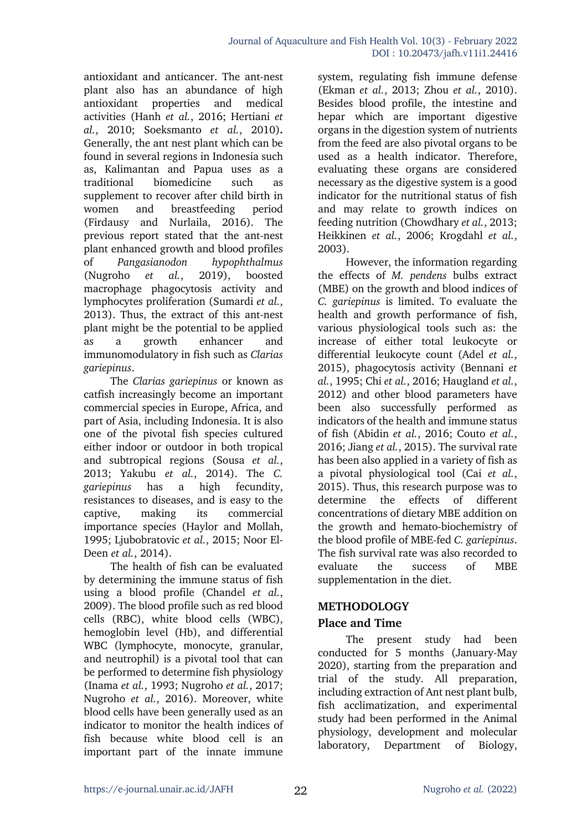antioxidant and anticancer. The ant-nest plant also has an abundance of high antioxidant properties and medical activities (Hanh *et al.*, 2016; Hertiani *et al.*, 2010; Soeksmanto *et al.*, 2010)**.**  Generally, the ant nest plant which can be found in several regions in Indonesia such as, Kalimantan and Papua uses as a traditional biomedicine such as supplement to recover after child birth in women and breastfeeding period (Firdausy and Nurlaila, 2016). The previous report stated that the ant-nest plant enhanced growth and blood profiles of *Pangasianodon hypophthalmus*  (Nugroho *et al.*, 2019), boosted macrophage phagocytosis activity and lymphocytes proliferation (Sumardi *et al.*, 2013). Thus, the extract of this ant-nest plant might be the potential to be applied as a growth enhancer and immunomodulatory in fish such as *Clarias gariepinus*.

The *Clarias gariepinus* or known as catfish increasingly become an important commercial species in Europe, Africa, and part of Asia, including Indonesia. It is also one of the pivotal fish species cultured either indoor or outdoor in both tropical and subtropical regions (Sousa *et al.*, 2013; Yakubu *et al.*, 2014). The *C. gariepinus* has a high fecundity, resistances to diseases, and is easy to the captive, making its commercial importance species (Haylor and Mollah, 1995; Ljubobratovic *et al.*, 2015; Noor El-Deen *et al.*, 2014).

The health of fish can be evaluated by determining the immune status of fish using a blood profile (Chandel *et al.*, 2009). The blood profile such as red blood cells (RBC), white blood cells (WBC), hemoglobin level (Hb), and differential WBC (lymphocyte, monocyte, granular, and neutrophil) is a pivotal tool that can be performed to determine fish physiology (Inama *et al.*, 1993; Nugroho *et al.*, 2017; Nugroho *et al.*, 2016). Moreover, white blood cells have been generally used as an indicator to monitor the health indices of fish because white blood cell is an important part of the innate immune

system, regulating fish immune defense (Ekman *et al.*, 2013; Zhou *et al.*, 2010). Besides blood profile, the intestine and hepar which are important digestive organs in the digestion system of nutrients from the feed are also pivotal organs to be used as a health indicator. Therefore, evaluating these organs are considered necessary as the digestive system is a good indicator for the nutritional status of fish and may relate to growth indices on feeding nutrition (Chowdhary *et al.*, 2013; Heikkinen *et al.*, 2006; Krogdahl *et al.*, 2003).

However, the information regarding the effects of *M. pendens* bulbs extract (MBE) on the growth and blood indices of *C. gariepinus* is limited. To evaluate the health and growth performance of fish, various physiological tools such as: the increase of either total leukocyte or differential leukocyte count (Adel *et al.*, 2015), phagocytosis activity (Bennani *et al.*, 1995; Chi *et al.*, 2016; Haugland *et al.*, 2012) and other blood parameters have been also successfully performed as indicators of the health and immune status of fish (Abidin *et al.*, 2016; Couto *et al.*, 2016; Jiang *et al.*, 2015). The survival rate has been also applied in a variety of fish as a pivotal physiological tool (Cai *et al.*, 2015). Thus, this research purpose was to determine the effects of different concentrations of dietary MBE addition on the growth and hemato-biochemistry of the blood profile of MBE-fed *C. gariepinus*. The fish survival rate was also recorded to evaluate the success of MBE supplementation in the diet.

#### **METHODOLOGY**

# **Place and Time**

The present study had been conducted for 5 months (January-May 2020), starting from the preparation and trial of the study. All preparation, including extraction of Ant nest plant bulb, fish acclimatization, and experimental study had been performed in the Animal physiology, development and molecular laboratory, Department of Biology,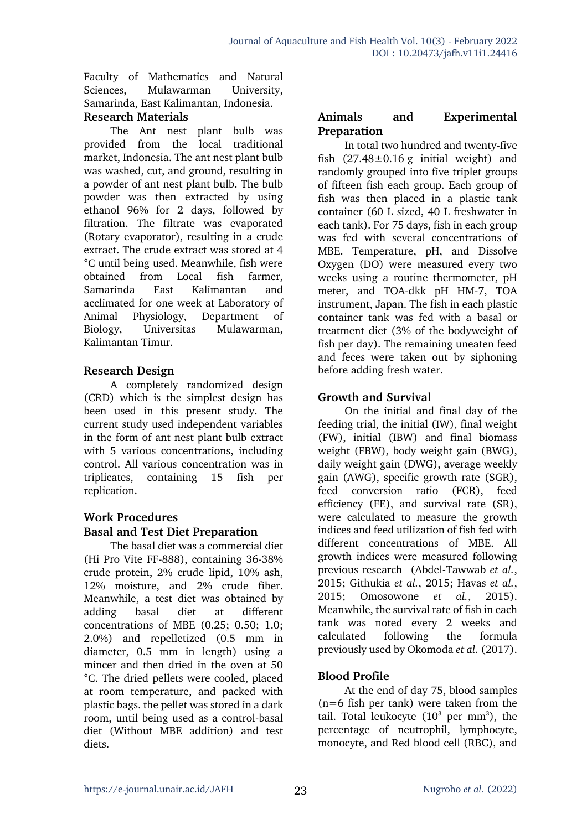Faculty of Mathematics and Natural Sciences, Mulawarman University, Samarinda, East Kalimantan, Indonesia.

### **Research Materials**

The Ant nest plant bulb was provided from the local traditional market, Indonesia. The ant nest plant bulb was washed, cut, and ground, resulting in a powder of ant nest plant bulb. The bulb powder was then extracted by using ethanol 96% for 2 days, followed by filtration. The filtrate was evaporated (Rotary evaporator), resulting in a crude extract. The crude extract was stored at 4 °C until being used. Meanwhile, fish were obtained from Local fish farmer, Samarinda East Kalimantan and acclimated for one week at Laboratory of Animal Physiology, Department of Biology, Universitas Mulawarman, Kalimantan Timur.

# **Research Design**

A completely randomized design (CRD) which is the simplest design has been used in this present study. The current study used independent variables in the form of ant nest plant bulb extract with 5 various concentrations, including control. All various concentration was in triplicates, containing 15 fish per replication.

#### **Work Procedures Basal and Test Diet Preparation**

The basal diet was a commercial diet (Hi Pro Vite FF-888), containing 36-38% crude protein, 2% crude lipid, 10% ash, 12% moisture, and 2% crude fiber. Meanwhile, a test diet was obtained by adding basal diet at different concentrations of MBE (0.25; 0.50; 1.0; 2.0%) and repelletized (0.5 mm in diameter, 0.5 mm in length) using a mincer and then dried in the oven at 50 °C. The dried pellets were cooled, placed at room temperature, and packed with plastic bags. the pellet was stored in a dark room, until being used as a control-basal diet (Without MBE addition) and test diets.

### **Animals and Experimental Preparation**

In total two hundred and twenty-five fish  $(27.48 \pm 0.16 \text{ g}$  initial weight) and randomly grouped into five triplet groups of fifteen fish each group. Each group of fish was then placed in a plastic tank container (60 L sized, 40 L freshwater in each tank). For 75 days, fish in each group was fed with several concentrations of MBE. Temperature, pH, and Dissolve Oxygen (DO) were measured every two weeks using a routine thermometer, pH meter, and TOA-dkk pH HM-7, TOA instrument, Japan. The fish in each plastic container tank was fed with a basal or treatment diet (3% of the bodyweight of fish per day). The remaining uneaten feed and feces were taken out by siphoning before adding fresh water.

# **Growth and Survival**

On the initial and final day of the feeding trial, the initial (IW), final weight (FW), initial (IBW) and final biomass weight (FBW), body weight gain (BWG), daily weight gain (DWG), average weekly gain (AWG), specific growth rate (SGR), feed conversion ratio (FCR), feed efficiency (FE), and survival rate (SR), were calculated to measure the growth indices and feed utilization of fish fed with different concentrations of MBE. All growth indices were measured following previous research (Abdel-Tawwab *et al.*, 2015; Githukia *et al.*, 2015; Havas *et al.*, 2015; Omosowone *et al.*, 2015). Meanwhile, the survival rate of fish in each tank was noted every 2 weeks and calculated following the formula previously used by Okomoda *et al.* (2017).

# **Blood Profile**

At the end of day 75, blood samples (n=6 fish per tank) were taken from the tail. Total leukocyte  $(10^3 \text{ per mm}^3)$ , the percentage of neutrophil, lymphocyte, monocyte, and Red blood cell (RBC), and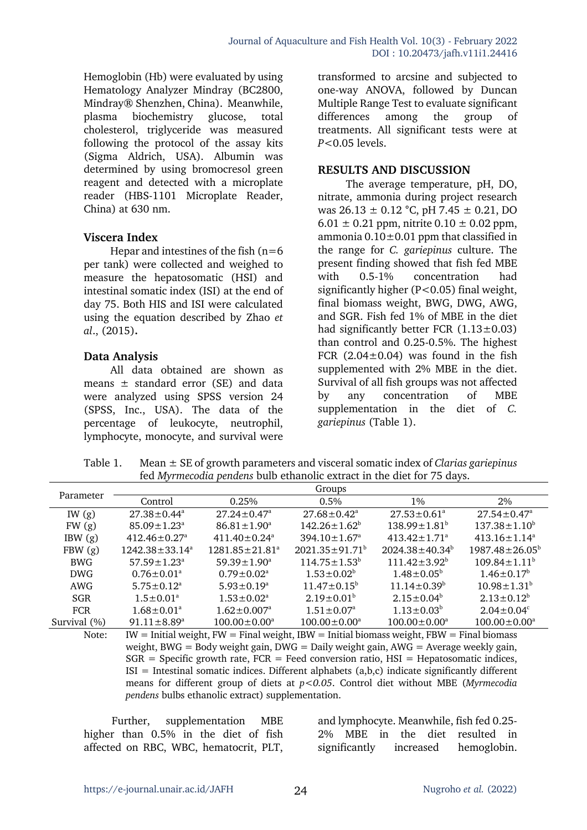Hemoglobin (Hb) were evaluated by using Hematology Analyzer Mindray (BC2800, Mindray® Shenzhen, China). Meanwhile, plasma biochemistry glucose, total cholesterol, triglyceride was measured following the protocol of the assay kits (Sigma Aldrich, USA). Albumin was determined by using bromocresol green reagent and detected with a microplate reader (HBS-1101 Microplate Reader, China) at 630 nm.

#### **Viscera Index**

Hepar and intestines of the fish  $(n=6)$ per tank) were collected and weighed to measure the hepatosomatic (HSI) and intestinal somatic index (ISI) at the end of day 75. Both HIS and ISI were calculated using the equation described by Zhao *et al*., (2015)**.**

## **Data Analysis**

All data obtained are shown as means  $\pm$  standard error (SE) and data were analyzed using SPSS version 24 (SPSS, Inc., USA). The data of the percentage of leukocyte, neutrophil, lymphocyte, monocyte, and survival were

transformed to arcsine and subjected to one-way ANOVA, followed by Duncan Multiple Range Test to evaluate significant differences among the group of treatments. All significant tests were at *P<*0.05 levels.

#### **RESULTS AND DISCUSSION**

The average temperature, pH, DO, nitrate, ammonia during project research was  $26.13 \pm 0.12$  °C, pH 7.45  $\pm$  0.21, DO  $6.01 \pm 0.21$  ppm, nitrite  $0.10 \pm 0.02$  ppm, ammonia 0.10±0.01 ppm that classified in the range for *C. gariepinus* culture. The present finding showed that fish fed MBE with 0.5-1% concentration had significantly higher  $(P<0.05)$  final weight, final biomass weight, BWG, DWG, AWG, and SGR. Fish fed 1% of MBE in the diet had significantly better FCR  $(1.13\pm0.03)$ than control and 0.25-0.5%. The highest FCR  $(2.04 \pm 0.04)$  was found in the fish supplemented with 2% MBE in the diet. Survival of all fish groups was not affected by any concentration of MBE supplementation in the diet of *C. gariepinus* (Table 1).

Table 1. Mean ± SE of growth parameters and visceral somatic index of *Clarias gariepinus* fed *Myrmecodia pendens* bulb ethanolic extract in the diet for 75 days.

| Parameter    | Groups                         |                                  |                                |                                |                              |  |
|--------------|--------------------------------|----------------------------------|--------------------------------|--------------------------------|------------------------------|--|
|              | Control                        | 0.25%                            | $0.5\%$                        | $1\%$                          | $2\%$                        |  |
| IW $(g)$     | $27.38 \pm 0.44^{\circ}$       | $27.24 \pm 0.47^{\circ}$         | $27.68 \pm 0.42^{\text{a}}$    | $27.53 \pm 0.61^{\circ}$       | $27.54 \pm 0.47^{\circ}$     |  |
| FW(g)        | $85.09 \pm 1.23$ <sup>a</sup>  | $86.81 \pm 1.90^{\circ}$         | $142.26 \pm 1.62^b$            | $138.99 \pm 1.81^b$            | $137.38 \pm 1.10^{\circ}$    |  |
| IBW(g)       | $412.46 \pm 0.27$ <sup>a</sup> | $411.40 \pm 0.24$ <sup>a</sup>   | $394.10 \pm 1.67$ <sup>a</sup> | $413.42 \pm 1.71$ <sup>a</sup> | $413.16 \pm 1.14^a$          |  |
| FBW(g)       | $1242.38 \pm 33.14^a$          | $1281.85 \pm 21.81$ <sup>a</sup> | $2021.35 \pm 91.71^{\circ}$    | $2024.38 \pm 40.34^b$          | $1987.48 \pm 26.05^{\circ}$  |  |
| BWG          | $57.59 \pm 1.23$ <sup>a</sup>  | $59.39 \pm 1.90^{\circ}$         | $114.75 \pm 1.53^b$            | $111.42 \pm 3.92^b$            | $109.84 \pm 1.11^b$          |  |
| <b>DWG</b>   | $0.76 \pm 0.01^{\text{a}}$     | $0.79 \pm 0.02^{\text{a}}$       | $1.53 \pm 0.02^b$              | $1.48 \pm 0.05^{\circ}$        | $1.46 \pm 0.17^b$            |  |
| AWG          | $5.75 \pm 0.12^{\text{a}}$     | $5.93 \pm 0.19^a$                | $11.47 \pm 0.15^b$             | $11.14 \pm 0.39^b$             | $10.98 \pm 1.31^b$           |  |
| <b>SGR</b>   | $1.5 \pm 0.01^a$               | $1.53 \pm 0.02^{\text{a}}$       | $2.19 \pm 0.01^{\circ}$        | $2.15 \pm 0.04^b$              | $2.13 \pm 0.12^b$            |  |
| <b>FCR</b>   | $1.68 \pm 0.01$ <sup>a</sup>   | $1.62 \pm 0.007$ <sup>a</sup>    | $1.51 \pm 0.07$ <sup>a</sup>   | $1.13 \pm 0.03^b$              | $2.04 \pm 0.04$ <sup>c</sup> |  |
| Survival (%) | $91.11 \pm 8.89$ <sup>a</sup>  | $100.00 \pm 0.00^a$              | $100.00 \pm 0.00^{\circ}$      | $100.00 \pm 0.00^a$            | $100.00 \pm 0.00^a$          |  |

Note: IW = Initial weight,  $FW =$  Final weight, IBW = Initial biomass weight, FBW = Final biomass weight, BWG = Body weight gain,  $DWG =$  Daily weight gain,  $AWG =$  Average weekly gain,  $SGR =$  Specific growth rate,  $FCR =$  Feed conversion ratio,  $HSI =$  Hepatosomatic indices,  $ISI =$  Intestinal somatic indices. Different alphabets  $(a,b,c)$  indicate significantly different means for different group of diets at *p<0.05*. Control diet without MBE (*Myrmecodia pendens* bulbs ethanolic extract) supplementation.

Further, supplementation MBE higher than 0.5% in the diet of fish affected on RBC, WBC, hematocrit, PLT,

and lymphocyte. Meanwhile, fish fed 0.25- 2% MBE in the diet resulted in significantly increased hemoglobin.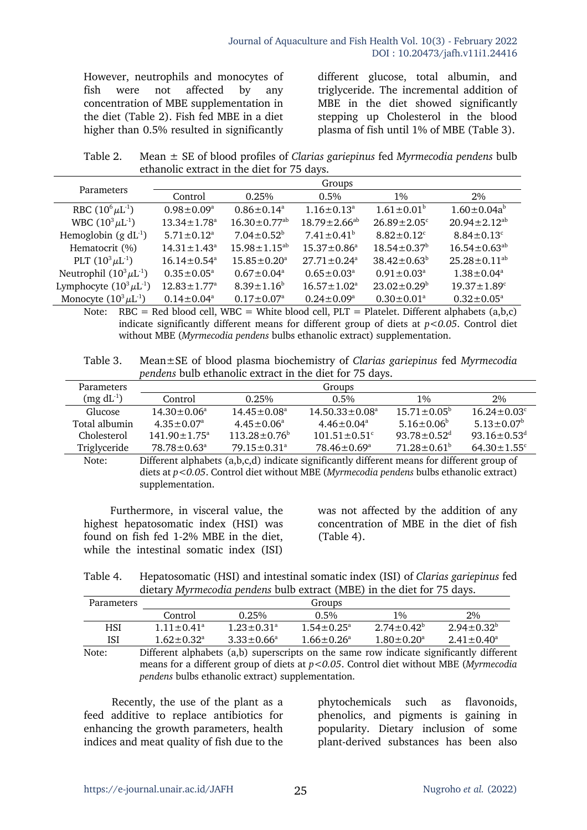However, neutrophils and monocytes of fish were not affected by any concentration of MBE supplementation in the diet (Table 2). Fish fed MBE in a diet higher than 0.5% resulted in significantly different glucose, total albumin, and triglyceride. The incremental addition of MBE in the diet showed significantly stepping up Cholesterol in the blood plasma of fish until 1% of MBE (Table 3).

Table 2. Mean ± SE of blood profiles of *Clarias gariepinus* fed *Myrmecodia pendens* bulb ethanolic extract in the diet for 75 days.

|                                |                               |                                | Groups                        |                               |                               |
|--------------------------------|-------------------------------|--------------------------------|-------------------------------|-------------------------------|-------------------------------|
| Parameters                     | Control                       | 0.25%                          | $0.5\%$                       | $1\%$                         | 2%                            |
| RBC $(10^6 \mu L^{-1})$        | $0.98 \pm 0.09^{\text{a}}$    | $0.86 \pm 0.14^a$              | $1.16 \pm 0.13^a$             | $1.61 \pm 0.01^b$             | $1.60 \pm 0.04a^b$            |
| WBC $(10^3 \mu L^{-1})$        | $13.34 \pm 1.78$ <sup>a</sup> | $16.30 \pm 0.77$ <sup>ab</sup> | $18.79 \pm 2.66^{ab}$         | $26.89 \pm 2.05$ <sup>c</sup> | $20.94 \pm 2.12^{ab}$         |
| Hemoglobin $(g \, dL^{-1})$    | $5.71 \pm 0.12$ <sup>a</sup>  | $7.04 \pm 0.52^b$              | $7.41 \pm 0.41^b$             | $8.82 \pm 0.12$ <sup>c</sup>  | $8.84 \pm 0.13$ °             |
| Hematocrit (%)                 | $14.31 \pm 1.43$ <sup>a</sup> | $15.98 \pm 1.15^{ab}$          | $15.37 \pm 0.86^{\circ}$      | $18.54 \pm 0.37^b$            | $16.54 \pm 0.63^{ab}$         |
| PLT $(10^3 \mu L^{-1})$        | $16.14 \pm 0.54$ <sup>a</sup> | $15.85 \pm 0.20^{\circ}$       | $27.71 \pm 0.24$ <sup>a</sup> | $38.42 \pm 0.63^b$            | $25.28 \pm 0.11^{ab}$         |
| Neutrophil $(10^3 \mu L^{-1})$ | $0.35 \pm 0.05^{\text{a}}$    | $0.67 \pm 0.04^a$              | $0.65 \pm 0.03^{\circ}$       | $0.91 \pm 0.03^{\text{a}}$    | $1.38 \pm 0.04^a$             |
| Lymphocyte $(10^3 \mu L^{-1})$ | $12.83 \pm 1.77$ <sup>a</sup> | $8.39 \pm 1.16^b$              | $16.57 \pm 1.02^a$            | $23.02 \pm 0.29^b$            | $19.37 \pm 1.89$ <sup>c</sup> |
| Monocyte $(10^3 \mu L^{-1})$   | $0.14 \pm 0.04$ <sup>a</sup>  | $0.17 \pm 0.07^{\text{a}}$     | $0.24 \pm 0.09^{\circ}$       | $0.30 \pm 0.01^{\circ}$       | $0.32 \pm 0.05^{\circ}$       |

Note:  $RBC = Red blood cell, WBC = White blood cell, PLT = Platelet. Different alphabets (a.b.c)$ indicate significantly different means for different group of diets at *p<0.05*. Control diet without MBE (*Myrmecodia pendens* bulbs ethanolic extract) supplementation.

Table 3. Mean±SE of blood plasma biochemistry of *Clarias gariepinus* fed *Myrmecodia pendens* bulb ethanolic extract in the diet for 75 days.

| Parameters      | Groups                        |                          |                                |                               |                               |  |
|-----------------|-------------------------------|--------------------------|--------------------------------|-------------------------------|-------------------------------|--|
| $(mg\,dL^{-1})$ | Control                       | 0.25%                    | $0.5\%$                        | 1%                            | 2%                            |  |
| Glucose         | $14.30 \pm 0.06^a$            | $14.45 \pm 0.08^{\circ}$ | $14.50.33 \pm 0.08^a$          | $15.71 \pm 0.05^{\circ}$      | $16.24 \pm 0.03$ <sup>c</sup> |  |
| Total albumin   | $4.35 \pm 0.07^{\circ}$       | $4.45 \pm 0.06^a$        | $4.46 \pm 0.04$ <sup>a</sup>   | $5.16 \pm 0.06^b$             | $5.13 \pm 0.07^b$             |  |
| Cholesterol     | $141.90 \pm 1.75^{\circ}$     | $113.28 \pm 0.76^b$      | $101.51 \pm 0.51$ <sup>c</sup> | $93.78 \pm 0.52$ <sup>d</sup> | 93.16 $\pm$ 0.53 <sup>d</sup> |  |
| Triglyceride    | $78.78 \pm 0.63$ <sup>a</sup> | $79.15 \pm 0.31^{\circ}$ | $78.46 \pm 0.69^{\circ}$       | $71.28 \pm 0.61^b$            | $64.30 \pm 1.55$ <sup>c</sup> |  |
|                 |                               |                          |                                |                               |                               |  |

Note: Different alphabets (a,b,c,d) indicate significantly different means for different group of diets at *p<0.05*. Control diet without MBE (*Myrmecodia pendens* bulbs ethanolic extract) supplementation.

Furthermore, in visceral value, the highest hepatosomatic index (HSI) was found on fish fed 1-2% MBE in the diet, while the intestinal somatic index (ISI)

was not affected by the addition of any concentration of MBE in the diet of fish (Table 4).

Table 4. Hepatosomatic (HSI) and intestinal somatic index (ISI) of *Clarias gariepinus* fed dietary *Myrmecodia pendens* bulb extract (MBE) in the diet for 75 days.

| <b>Parameters</b> |                              | Groups                       |                         |                                           |                                              |  |  |
|-------------------|------------------------------|------------------------------|-------------------------|-------------------------------------------|----------------------------------------------|--|--|
|                   | Control                      | 0.25%                        | $0.5\%$                 | $1\%$                                     | 2%                                           |  |  |
| HSI               | $1.11 \pm 0.41$ <sup>a</sup> | $1.23 \pm 0.31$ <sup>a</sup> | $1.54 \pm 0.25^a$       | $2.74 \pm 0.42^{\circ}$                   | $2.94 \pm 0.32^b$                            |  |  |
| ISI               | $1.62 \pm 0.32$ <sup>a</sup> | $3.33 \pm 0.66^a$            | $1.66 \pm 0.26^{\circ}$ | $1.80 \pm 0.20$ <sup>a</sup>              | $2.41 \pm 0.40^a$                            |  |  |
|                   | $\sim$ $\sim$ $\sim$ $\sim$  | .                            |                         | $\sim$ $\sim$ $\sim$ $\sim$ $\sim$ $\sim$ | $\sim$ $\sim$ $\sim$<br>$\sim$ $\sim$ $\sim$ |  |  |

Note: Different alphabets (a,b) superscripts on the same row indicate significantly different means for a different group of diets at *p<0.05*. Control diet without MBE (*Myrmecodia pendens* bulbs ethanolic extract) supplementation.

Recently, the use of the plant as a feed additive to replace antibiotics for enhancing the growth parameters, health indices and meat quality of fish due to the phytochemicals such as flavonoids, phenolics, and pigments is gaining in popularity. Dietary inclusion of some plant-derived substances has been also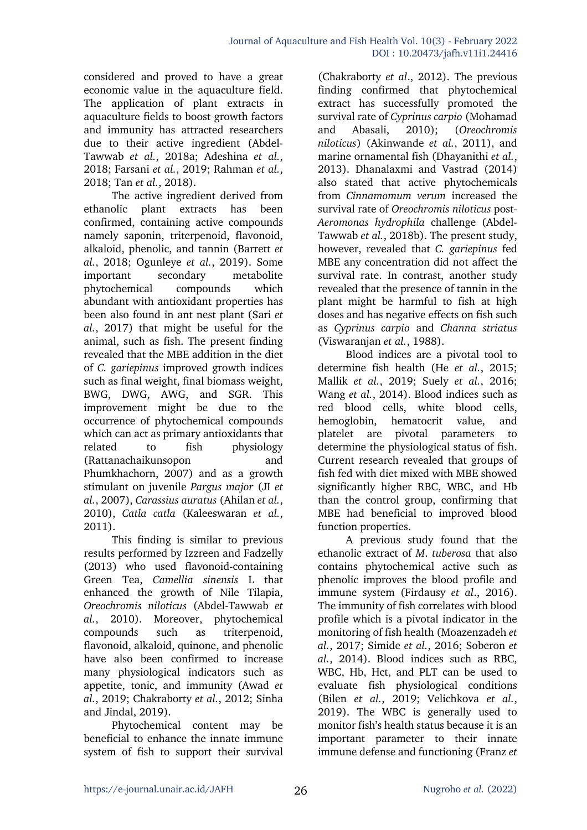considered and proved to have a great economic value in the aquaculture field. The application of plant extracts in aquaculture fields to boost growth factors and immunity has attracted researchers due to their active ingredient (Abdel-Tawwab *et al.*, 2018a; Adeshina *et al.*, 2018; Farsani *et al.*, 2019; Rahman *et al.*, 2018; Tan *et al.*, 2018).

The active ingredient derived from ethanolic plant extracts has been confirmed, containing active compounds namely saponin, triterpenoid, flavonoid, alkaloid, phenolic, and tannin (Barrett *et al.*, 2018; Ogunleye *et al.*, 2019). Some important secondary metabolite phytochemical compounds which abundant with antioxidant properties has been also found in ant nest plant (Sari *et al.*, 2017) that might be useful for the animal, such as fish. The present finding revealed that the MBE addition in the diet of *C. gariepinus* improved growth indices such as final weight, final biomass weight, BWG, DWG, AWG, and SGR. This improvement might be due to the occurrence of phytochemical compounds which can act as primary antioxidants that related to fish physiology (Rattanachaikunsopon and Phumkhachorn, 2007) and as a growth stimulant on juvenile *Pargus major* (JI *et al.*, 2007), *Carassius auratus* (Ahilan *et al.*, 2010), *Catla catla* (Kaleeswaran *et al.*, 2011).

This finding is similar to previous results performed by Izzreen and Fadzelly (2013) who used flavonoid-containing Green Tea, *Camellia sinensis* L that enhanced the growth of Nile Tilapia, *Oreochromis niloticus* (Abdel-Tawwab *et al.*, 2010). Moreover, phytochemical compounds such as triterpenoid, flavonoid, alkaloid, quinone, and phenolic have also been confirmed to increase many physiological indicators such as appetite, tonic, and immunity (Awad *et al.*, 2019; Chakraborty *et al.*, 2012; Sinha and Jindal, 2019).

Phytochemical content may be beneficial to enhance the innate immune system of fish to support their survival

(Chakraborty *et al*., 2012). The previous finding confirmed that phytochemical extract has successfully promoted the survival rate of *Cyprinus carpio* (Mohamad and Abasali, 2010); (*Oreochromis niloticus*) (Akinwande *et al.*, 2011), and marine ornamental fish (Dhayanithi *et al.*, 2013). Dhanalaxmi and Vastrad (2014) also stated that active phytochemicals from *Cinnamomum verum* increased the survival rate of *Oreochromis niloticus* post-*Aeromonas hydrophila* challenge (Abdel-Tawwab *et al.*, 2018b). The present study, however, revealed that *C. gariepinus* fed MBE any concentration did not affect the survival rate. In contrast, another study revealed that the presence of tannin in the plant might be harmful to fish at high doses and has negative effects on fish such as *Cyprinus carpio* and *Channa striatus*  (Viswaranjan *et al.*, 1988).

Blood indices are a pivotal tool to determine fish health (He *et al.*, 2015; Mallik *et al.*, 2019; Suely *et al.*, 2016; Wang *et al.*, 2014). Blood indices such as red blood cells, white blood cells, hemoglobin, hematocrit value, and platelet are pivotal parameters to determine the physiological status of fish. Current research revealed that groups of fish fed with diet mixed with MBE showed significantly higher RBC, WBC, and Hb than the control group, confirming that MBE had beneficial to improved blood function properties.

A previous study found that the ethanolic extract of *M*. *tuberosa* that also contains phytochemical active such as phenolic improves the blood profile and immune system (Firdausy *et al*., 2016). The immunity of fish correlates with blood profile which is a pivotal indicator in the monitoring of fish health (Moazenzadeh *et al.*, 2017; Simide *et al.*, 2016; Soberon *et al.*, 2014). Blood indices such as RBC, WBC, Hb, Hct, and PLT can be used to evaluate fish physiological conditions (Bilen *et al.*, 2019; Velichkova *et al.*, 2019). The WBC is generally used to monitor fish's health status because it is an important parameter to their innate immune defense and functioning (Franz *et*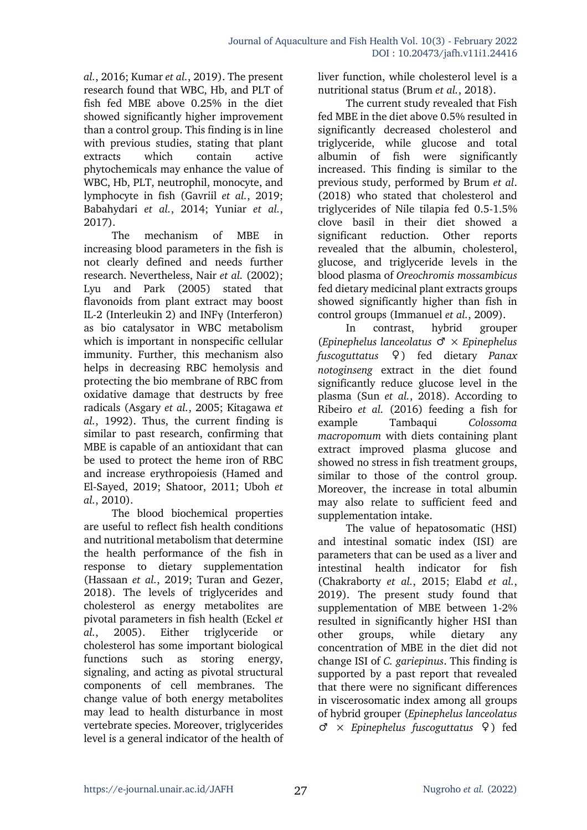*al.*, 2016; Kumar *et al.*, 2019). The present research found that WBC, Hb, and PLT of fish fed MBE above 0.25% in the diet showed significantly higher improvement than a control group. This finding is in line with previous studies, stating that plant extracts which contain active phytochemicals may enhance the value of WBC, Hb, PLT, neutrophil, monocyte, and lymphocyte in fish (Gavriil *et al.*, 2019; Babahydari *et al.*, 2014; Yuniar *et al.*, 2017).

The mechanism of MBE in increasing blood parameters in the fish is not clearly defined and needs further research. Nevertheless, Nair *et al.* (2002); Lyu and Park (2005) stated that flavonoids from plant extract may boost IL-2 (Interleukin 2) and INFγ (Interferon) as bio catalysator in WBC metabolism which is important in nonspecific cellular immunity. Further, this mechanism also helps in decreasing RBC hemolysis and protecting the bio membrane of RBC from oxidative damage that destructs by free radicals (Asgary *et al.*, 2005; Kitagawa *et al.*, 1992). Thus, the current finding is similar to past research, confirming that MBE is capable of an antioxidant that can be used to protect the heme iron of RBC and increase erythropoiesis (Hamed and El-Sayed, 2019; Shatoor, 2011; Uboh *et al.*, 2010).

The blood biochemical properties are useful to reflect fish health conditions and nutritional metabolism that determine the health performance of the fish in response to dietary supplementation (Hassaan *et al.*, 2019; Turan and Gezer, 2018). The levels of triglycerides and cholesterol as energy metabolites are pivotal parameters in fish health (Eckel *et al.*, 2005). Either triglyceride or cholesterol has some important biological functions such as storing energy, signaling, and acting as pivotal structural components of cell membranes. The change value of both energy metabolites may lead to health disturbance in most vertebrate species. Moreover, triglycerides level is a general indicator of the health of

liver function, while cholesterol level is a nutritional status (Brum *et al.*, 2018).

The current study revealed that Fish fed MBE in the diet above 0.5% resulted in significantly decreased cholesterol and triglyceride, while glucose and total albumin of fish were significantly increased. This finding is similar to the previous study, performed by Brum *et al*. (2018) who stated that cholesterol and triglycerides of Nile tilapia fed 0.5-1.5% clove basil in their diet showed a significant reduction. Other reports revealed that the albumin, cholesterol, glucose, and triglyceride levels in the blood plasma of *Oreochromis mossambicus* fed dietary medicinal plant extracts groups showed significantly higher than fish in control groups (Immanuel *et al.*, 2009).

In contrast, hybrid grouper (*Epinephelus lanceolatus* ♂ × *Epinephelus fuscoguttatus* ♀) fed dietary *Panax notoginseng* extract in the diet found significantly reduce glucose level in the plasma (Sun *et al.*, 2018). According to Ribeiro *et al.* (2016) feeding a fish for example Tambaqui *Colossoma macropomum* with diets containing plant extract improved plasma glucose and showed no stress in fish treatment groups, similar to those of the control group. Moreover, the increase in total albumin may also relate to sufficient feed and supplementation intake.

The value of hepatosomatic (HSI) and intestinal somatic index (ISI) are parameters that can be used as a liver and intestinal health indicator for fish (Chakraborty *et al.*, 2015; Elabd *et al.*, 2019). The present study found that supplementation of MBE between 1-2% resulted in significantly higher HSI than other groups, while dietary any concentration of MBE in the diet did not change ISI of *C. gariepinus*. This finding is supported by a past report that revealed that there were no significant differences in viscerosomatic index among all groups of hybrid grouper (*Epinephelus lanceolatus* ♂ × *Epinephelus fuscoguttatus* ♀) fed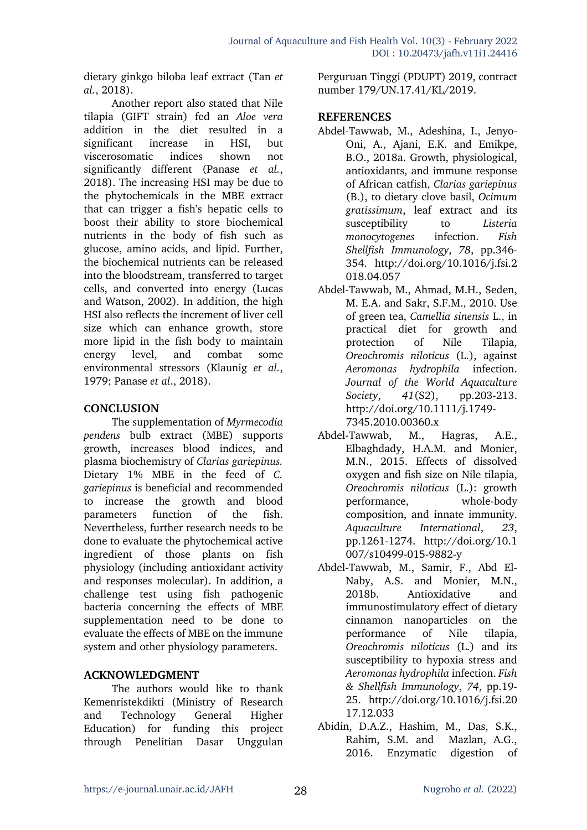dietary ginkgo biloba leaf extract (Tan *et al.*, 2018).

Another report also stated that Nile tilapia (GIFT strain) fed an *Aloe vera* addition in the diet resulted in a significant increase in HSI, but viscerosomatic indices shown not significantly different (Panase *et al.*, 2018). The increasing HSI may be due to the phytochemicals in the MBE extract that can trigger a fish's hepatic cells to boost their ability to store biochemical nutrients in the body of fish such as glucose, amino acids, and lipid. Further, the biochemical nutrients can be released into the bloodstream, transferred to target cells, and converted into energy (Lucas and Watson, 2002). In addition, the high HSI also reflects the increment of liver cell size which can enhance growth, store more lipid in the fish body to maintain energy level, and combat some environmental stressors (Klaunig *et al.*, 1979; Panase *et al*., 2018).

#### **CONCLUSION**

The supplementation of *Myrmecodia pendens* bulb extract (MBE) supports growth, increases blood indices, and plasma biochemistry of *Clarias gariepinus.* Dietary 1% MBE in the feed of *C. gariepinus* is beneficial and recommended to increase the growth and blood parameters function of the fish. Nevertheless, further research needs to be done to evaluate the phytochemical active ingredient of those plants on fish physiology (including antioxidant activity and responses molecular). In addition, a challenge test using fish pathogenic bacteria concerning the effects of MBE supplementation need to be done to evaluate the effects of MBE on the immune system and other physiology parameters.

# **ACKNOWLEDGMENT**

The authors would like to thank Kemenristekdikti (Ministry of Research and Technology General Higher Education) for funding this project through Penelitian Dasar Unggulan Perguruan Tinggi (PDUPT) 2019, contract number 179/UN.17.41/KL/2019.

#### **REFERENCES**

- Abdel-Tawwab, M., Adeshina, I., Jenyo-Oni, A., Ajani, E.K. and Emikpe, B.O., 2018a. Growth, physiological, antioxidants, and immune response of African catfish, *Clarias gariepinus*  (B.), to dietary clove basil, *Ocimum gratissimum*, leaf extract and its susceptibility to *Listeria monocytogenes* infection. *Fish Shellfish Immunology*, *78*, pp.346- 354. http://doi.org/10.1016/j.fsi.2 018.04.057
- Abdel-Tawwab, M., Ahmad, M.H., Seden, M. E.A. and Sakr, S.F.M., 2010. Use of green tea, *Camellia sinensis* L., in practical diet for growth and protection of Nile Tilapia, *Oreochromis niloticus* (L.), against *Aeromonas hydrophila* infection. *Journal of the World Aquaculture Society*, *41*(S2), pp.203-213. http://doi.org/10.1111/j.1749- 7345.2010.00360.x
- Abdel-Tawwab, M., Hagras, A.E., Elbaghdady, H.A.M. and Monier, M.N., 2015. Effects of dissolved oxygen and fish size on Nile tilapia, *Oreochromis niloticus* (L.): growth performance, whole-body composition, and innate immunity. *Aquaculture International*, *23*, pp.1261-1274. http://doi.org/10.1 007/s10499-015-9882-y
- Abdel-Tawwab, M., Samir, F., Abd El-Naby, A.S. and Monier, M.N., 2018b. Antioxidative and immunostimulatory effect of dietary cinnamon nanoparticles on the performance of Nile tilapia, *Oreochromis niloticus* (L.) and its susceptibility to hypoxia stress and *Aeromonas hydrophila* infection. *Fish & Shellfish Immunology*, *74*, pp.19- 25. http://doi.org/10.1016/j.fsi.20 17.12.033
- Abidin, D.A.Z., Hashim, M., Das, S.K., Rahim, S.M. and Mazlan, A.G., 2016. Enzymatic digestion of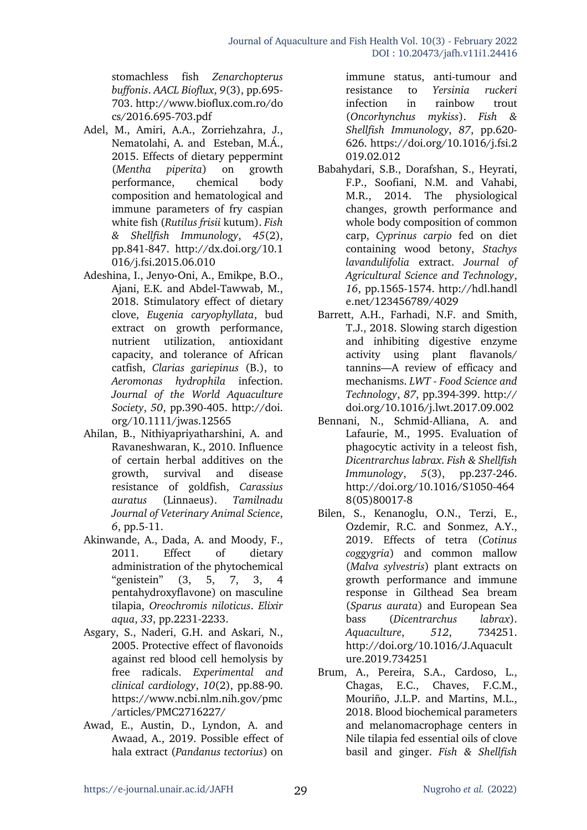stomachless fish *Zenarchopterus buffonis*. *AACL Bioflux*, *9*(3), pp.695- 703. http://www.bioflux.com.ro/do cs/2016.695-703.pdf

- Adel, M., Amiri, A.A., Zorriehzahra, J., Nematolahi, A. and Esteban, M.Á., 2015. Effects of dietary peppermint (*Mentha piperita*) on growth performance, chemical body composition and hematological and immune parameters of fry caspian white fish (*Rutilus frisii* kutum). *Fish & Shellfish Immunology*, *45*(2), pp.841-847. http://dx.doi.org/10.1 016/j.fsi.2015.06.010
- Adeshina, I., Jenyo-Oni, A., Emikpe, B.O., Ajani, E.K. and Abdel-Tawwab, M., 2018. Stimulatory effect of dietary clove, *Eugenia caryophyllata*, bud extract on growth performance, nutrient utilization, antioxidant capacity, and tolerance of African catfish, *Clarias gariepinus* (B.), to *Aeromonas hydrophila* infection. *Journal of the World Aquaculture Society*, *50*, pp.390-405. http://doi. org/10.1111/jwas.12565
- Ahilan, B., Nithiyapriyatharshini, A. and Ravaneshwaran, K., 2010. Influence of certain herbal additives on the growth, survival and disease resistance of goldfish, *Carassius auratus* (Linnaeus). *Tamilnadu Journal of Veterinary Animal Science*, *6*, pp.5-11.
- Akinwande, A., Dada, A. and Moody, F., 2011. Effect of dietary administration of the phytochemical "genistein" (3, 5, 7, 3, 4 pentahydroxyflavone) on masculine tilapia, *Oreochromis niloticus*. *Elixir aqua*, *33*, pp.2231-2233.
- Asgary, S., Naderi, G.H. and Askari, N., 2005. Protective effect of flavonoids against red blood cell hemolysis by free radicals. *Experimental and clinical cardiology*, *10*(2), pp.88-90. https://www.ncbi.nlm.nih.gov/pmc /articles/PMC2716227/
- Awad, E., Austin, D., Lyndon, A. and Awaad, A., 2019. Possible effect of hala extract (*Pandanus tectorius*) on

immune status, anti-tumour and resistance to *Yersinia ruckeri* infection in rainbow trout (*Oncorhynchus mykiss*). *Fish & Shellfish Immunology*, *87*, pp.620- 626. https://doi.org/10.1016/j.fsi.2 019.02.012

- Babahydari, S.B., Dorafshan, S., Heyrati, F.P., Soofiani, N.M. and Vahabi, M.R., 2014. The physiological changes, growth performance and whole body composition of common carp, *Cyprinus carpio* fed on diet containing wood betony, *Stachys lavandulifolia* extract. *Journal of Agricultural Science and Technology*, *16*, pp.1565-1574. http://hdl.handl e.net/123456789/4029
- Barrett, A.H., Farhadi, N.F. and Smith, T.J., 2018. Slowing starch digestion and inhibiting digestive enzyme activity using plant flavanols/ tannins—A review of efficacy and mechanisms. *LWT - Food Science and Technology*, *87*, pp.394-399. http:// doi.org/10.1016/j.lwt.2017.09.002
- Bennani, N., Schmid-Alliana, A. and Lafaurie, M., 1995. Evaluation of phagocytic activity in a teleost fish, *Dicentrarchus labrax*. *Fish & Shellfish Immunology*, *5*(3), pp.237-246. http://doi.org/10.1016/S1050-464 8(05)80017-8
- Bilen, S., Kenanoglu, O.N., Terzi, E., Ozdemir, R.C. and Sonmez, A.Y., 2019. Effects of tetra (*Cotinus coggygria*) and common mallow (*Malva sylvestris*) plant extracts on growth performance and immune response in Gilthead Sea bream (*Sparus aurata*) and European Sea bass (*Dicentrarchus labrax*). *Aquaculture*, *512*, 734251. http://doi.org/10.1016/J.Aquacult ure.2019.734251
- Brum, A., Pereira, S.A., Cardoso, L., Chagas, E.C., Chaves, F.C.M., Mouriño, J.L.P. and Martins, M.L., 2018. Blood biochemical parameters and melanomacrophage centers in Nile tilapia fed essential oils of clove basil and ginger. *Fish & Shellfish*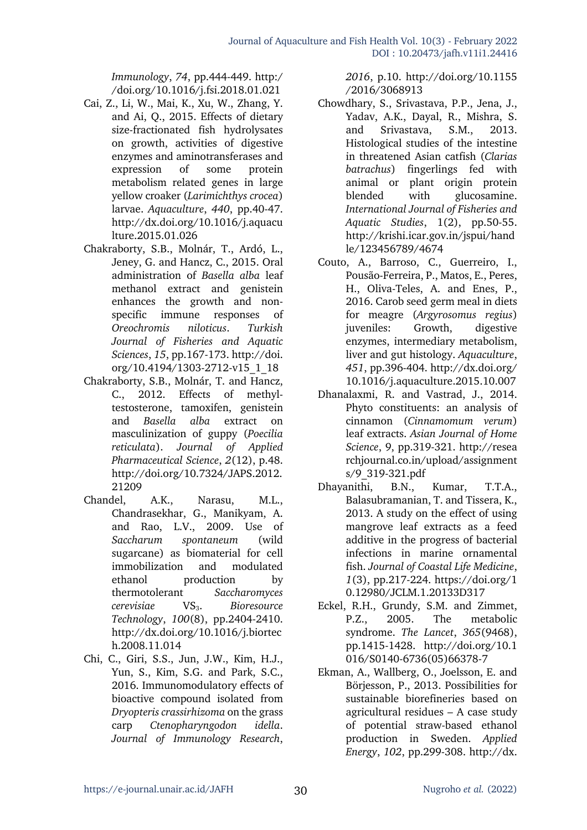*Immunology*, *74*, pp.444-449. http:/ /doi.org/10.1016/j.fsi.2018.01.021

- Cai, Z., Li, W., Mai, K., Xu, W., Zhang, Y. and Ai, Q., 2015. Effects of dietary size-fractionated fish hydrolysates on growth, activities of digestive enzymes and aminotransferases and expression of some protein metabolism related genes in large yellow croaker (*Larimichthys crocea*) larvae. *Aquaculture*, *440*, pp.40-47. http://dx.doi.org/10.1016/j.aquacu lture.2015.01.026
- Chakraborty, S.B., Molnár, T., Ardó, L., Jeney, G. and Hancz, C., 2015. Oral administration of *Basella alba* leaf methanol extract and genistein enhances the growth and nonspecific immune responses of *Oreochromis niloticus*. *Turkish Journal of Fisheries and Aquatic Sciences*, *15*, pp.167-173. http://doi. org/10.4194/1303-2712-v15\_1\_18
- Chakraborty, S.B., Molnár, T. and Hancz, C., 2012. Effects of methyltestosterone, tamoxifen, genistein and *Basella alba* extract on masculinization of guppy (*Poecilia reticulata*). *Journal of Applied Pharmaceutical Science*, *2*(12), p.48. http://doi.org/10.7324/JAPS.2012. 21209
- Chandel, A.K., Narasu, M.L., Chandrasekhar, G., Manikyam, A. and Rao, L.V., 2009. Use of *Saccharum spontaneum* (wild sugarcane) as biomaterial for cell immobilization and modulated ethanol production by thermotolerant *Saccharomyces cerevisiae* VS3. *Bioresource Technology*, *100*(8), pp.2404-2410. http://dx.doi.org/10.1016/j.biortec h.2008.11.014
- Chi, C., Giri, S.S., Jun, J.W., Kim, H.J., Yun, S., Kim, S.G. and Park, S.C., 2016. Immunomodulatory effects of bioactive compound isolated from *Dryopteris crassirhizoma* on the grass carp *Ctenopharyngodon idella*. *Journal of Immunology Research*,

*2016*, p.10. http://doi.org/10.1155 /2016/3068913

- Chowdhary, S., Srivastava, P.P., Jena, J., Yadav, A.K., Dayal, R., Mishra, S. and Srivastava, S.M., 2013. Histological studies of the intestine in threatened Asian catfish (*Clarias batrachus*) fingerlings fed with animal or plant origin protein blended with glucosamine. *International Journal of Fisheries and Aquatic Studies*, 1(2), pp.50-55. http://krishi.icar.gov.in/jspui/hand le/123456789/4674
- Couto, A., Barroso, C., Guerreiro, I., Pousão-Ferreira, P., Matos, E., Peres, H., Oliva-Teles, A. and Enes, P., 2016. Carob seed germ meal in diets for meagre (*Argyrosomus regius*) juveniles: Growth, digestive enzymes, intermediary metabolism, liver and gut histology. *Aquaculture*, *451*, pp.396-404. http://dx.doi.org/ 10.1016/j.aquaculture.2015.10.007
- Dhanalaxmi, R. and Vastrad, J., 2014. Phyto constituents: an analysis of cinnamon (*Cinnamomum verum*) leaf extracts. *Asian Journal of Home Science*, 9, pp.319-321. http://resea rchjournal.co.in/upload/assignment s/9\_319-321.pdf
- Dhayanithi, B.N., Kumar, T.T.A., Balasubramanian, T. and Tissera, K., 2013. A study on the effect of using mangrove leaf extracts as a feed additive in the progress of bacterial infections in marine ornamental fish. *Journal of Coastal Life Medicine*, *1*(3), pp.217-224. https://doi.org/1 0.12980/JCLM.1.20133D317
- Eckel, R.H., Grundy, S.M. and Zimmet, P.Z., 2005. The metabolic syndrome. *The Lancet*, *365*(9468), pp.1415-1428. http://doi.org/10.1 016/S0140-6736(05)66378-7
- Ekman, A., Wallberg, O., Joelsson, E. and Börjesson, P., 2013. Possibilities for sustainable biorefineries based on agricultural residues – A case study of potential straw-based ethanol production in Sweden. *Applied Energy*, *102*, pp.299-308. http://dx.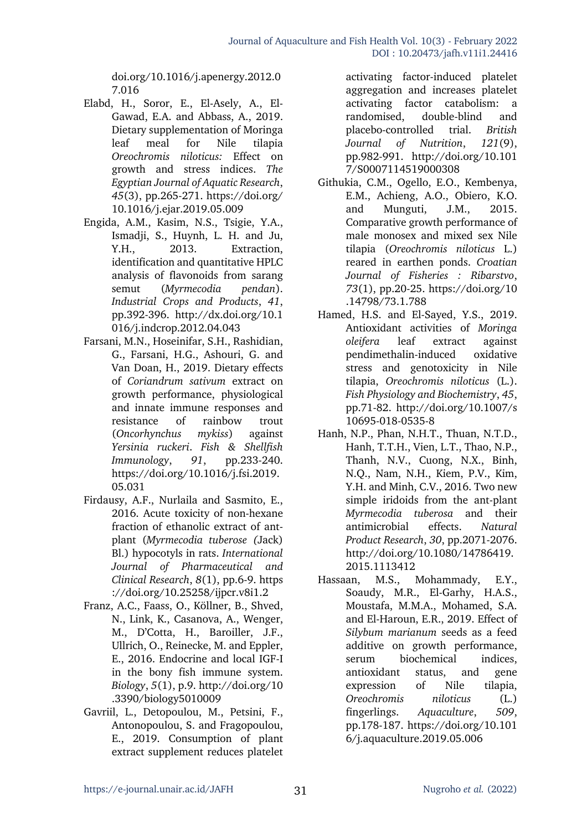doi.org/10.1016/j.apenergy.2012.0 7.016

- Elabd, H., Soror, E., El-Asely, A., El-Gawad, E.A. and Abbass, A., 2019. Dietary supplementation of Moringa leaf meal for Nile tilapia *Oreochromis niloticus:* Effect on growth and stress indices. *The Egyptian Journal of Aquatic Research*, *45*(3), pp.265-271. https://doi.org/ 10.1016/j.ejar.2019.05.009
- Engida, A.M., Kasim, N.S., Tsigie, Y.A., Ismadji, S., Huynh, L. H. and Ju, Y.H., 2013. Extraction, identification and quantitative HPLC analysis of flavonoids from sarang semut (*Myrmecodia pendan*). *Industrial Crops and Products*, *41*, pp.392-396. http://dx.doi.org/10.1 016/j.indcrop.2012.04.043
- Farsani, M.N., Hoseinifar, S.H., Rashidian, G., Farsani, H.G., Ashouri, G. and Van Doan, H., 2019. Dietary effects of *Coriandrum sativum* extract on growth performance, physiological and innate immune responses and resistance of rainbow trout (*Oncorhynchus mykiss*) against *Yersinia ruckeri*. *Fish & Shellfish Immunology*, *91*, pp.233-240. https://doi.org/10.1016/j.fsi.2019. 05.031
- Firdausy, A.F., Nurlaila and Sasmito, E., 2016. Acute toxicity of non-hexane fraction of ethanolic extract of antplant (*Myrmecodia tuberose (*Jack) Bl.) hypocotyls in rats. *International Journal of Pharmaceutical and Clinical Research*, *8*(1), pp.6-9. https ://doi.org/10.25258/ijpcr.v8i1.2
- Franz, A.C., Faass, O., Köllner, B., Shved, N., Link, K., Casanova, A., Wenger, M., D'Cotta, H., Baroiller, J.F., Ullrich, O., Reinecke, M. and Eppler, E., 2016. Endocrine and local IGF-I in the bony fish immune system. *Biology*, *5*(1), p.9. http://doi.org/10 .3390/biology5010009
- Gavriil, L., Detopoulou, M., Petsini, F., Antonopoulou, S. and Fragopoulou, E., 2019. Consumption of plant extract supplement reduces platelet

activating factor-induced platelet aggregation and increases platelet activating factor catabolism: a randomised, double-blind and placebo-controlled trial. *British Journal of Nutrition*, *121*(9), pp.982-991. http://doi.org/10.101 7/S0007114519000308

- Githukia, C.M., Ogello, E.O., Kembenya, E.M., Achieng, A.O., Obiero, K.O. and Munguti, J.M., 2015. Comparative growth performance of male monosex and mixed sex Nile tilapia (*Oreochromis niloticus* L.) reared in earthen ponds. *Croatian Journal of Fisheries : Ribarstvo*, *73*(1), pp.20-25. https://doi.org/10 .14798/73.1.788
- Hamed, H.S. and El-Sayed, Y.S., 2019. Antioxidant activities of *Moringa oleifera* leaf extract against pendimethalin-induced oxidative stress and genotoxicity in Nile tilapia, *Oreochromis niloticus* (L.). *Fish Physiology and Biochemistry*, *45*, pp.71-82. http://doi.org/10.1007/s 10695-018-0535-8
- Hanh, N.P., Phan, N.H.T., Thuan, N.T.D., Hanh, T.T.H., Vien, L.T., Thao, N.P., Thanh, N.V., Cuong, N.X., Binh, N.Q., Nam, N.H., Kiem, P.V., Kim, Y.H. and Minh, C.V., 2016. Two new simple iridoids from the ant-plant *Myrmecodia tuberosa* and their antimicrobial effects. *Natural Product Research*, *30*, pp.2071-2076. http://doi.org/10.1080/14786419. 2015.1113412
- Hassaan, M.S., Mohammady, E.Y., Soaudy, M.R., El-Garhy, H.A.S., Moustafa, M.M.A., Mohamed, S.A. and El-Haroun, E.R., 2019. Effect of *Silybum marianum* seeds as a feed additive on growth performance, serum biochemical indices, antioxidant status, and gene expression of Nile tilapia, *Oreochromis niloticus* (L.) fingerlings. *Aquaculture*, *509*, pp.178-187. https://doi.org/10.101 6/j.aquaculture.2019.05.006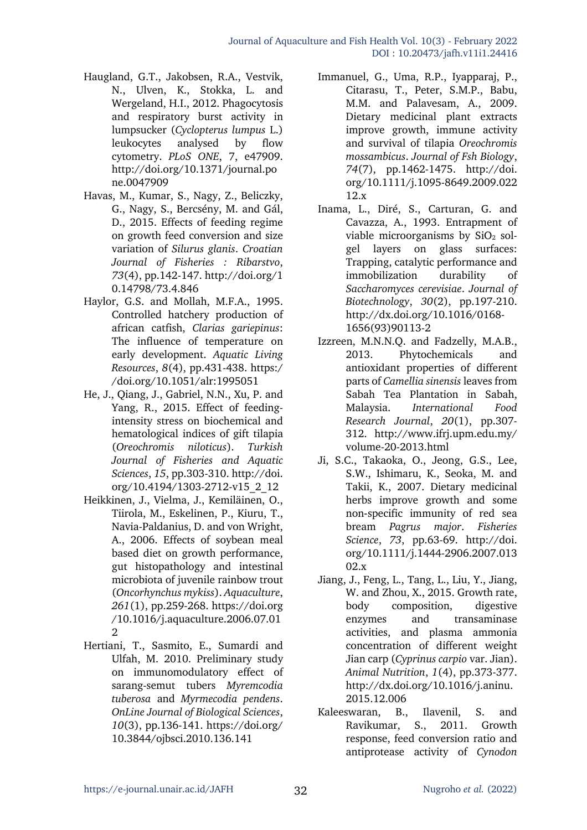- Haugland, G.T., Jakobsen, R.A., Vestvik, N., Ulven, K., Stokka, L. and Wergeland, H.I., 2012. Phagocytosis and respiratory burst activity in lumpsucker (*Cyclopterus lumpus* L.) leukocytes analysed by flow cytometry. *PLoS ONE*, 7, e47909. http://doi.org/10.1371/journal.po ne.0047909
- Havas, M., Kumar, S., Nagy, Z., Beliczky, G., Nagy, S., Bercsény, M. and Gál, D., 2015. Effects of feeding regime on growth feed conversion and size variation of *Silurus glanis*. *Croatian Journal of Fisheries : Ribarstvo*, *73*(4), pp.142-147. http://doi.org/1 0.14798/73.4.846
- Haylor, G.S. and Mollah, M.F.A., 1995. Controlled hatchery production of african catfish, *Clarias gariepinus*: The influence of temperature on early development. *Aquatic Living Resources*, *8*(4), pp.431-438. https:/ /doi.org/10.1051/alr:1995051
- He, J., Qiang, J., Gabriel, N.N., Xu, P. and Yang, R., 2015. Effect of feedingintensity stress on biochemical and hematological indices of gift tilapia (*Oreochromis niloticus*). *Turkish Journal of Fisheries and Aquatic Sciences*, *15*, pp.303-310. http://doi. org/10.4194/1303-2712-v15\_2\_12
- Heikkinen, J., Vielma, J., Kemiläinen, O., Tiirola, M., Eskelinen, P., Kiuru, T., Navia-Paldanius, D. and von Wright, A., 2006. Effects of soybean meal based diet on growth performance, gut histopathology and intestinal microbiota of juvenile rainbow trout (*Oncorhynchus mykiss*). *Aquaculture*, *261*(1), pp.259-268. https://doi.org /10.1016/j.aquaculture.2006.07.01 2
- Hertiani, T., Sasmito, E., Sumardi and Ulfah, M. 2010. Preliminary study on immunomodulatory effect of sarang-semut tubers *Myremcodia tuberosa* and *Myrmecodia pendens*. *OnLine Journal of Biological Sciences*, *10*(3), pp.136-141. https://doi.org/ 10.3844/ojbsci.2010.136.141
- Immanuel, G., Uma, R.P., Iyapparaj, P., Citarasu, T., Peter, S.M.P., Babu, M.M. and Palavesam, A., 2009. Dietary medicinal plant extracts improve growth, immune activity and survival of tilapia *Oreochromis mossambicus*. *Journal of Fsh Biology*, *74*(7), pp.1462-1475. http://doi. org/10.1111/j.1095-8649.2009.022 12.x
- Inama, L., Diré, S., Carturan, G. and Cavazza, A., 1993. Entrapment of viable microorganisms by  $SiO<sub>2</sub>$  solgel layers on glass surfaces: Trapping, catalytic performance and immobilization durability of *Saccharomyces cerevisiae*. *Journal of Biotechnology*, *30*(2), pp.197-210. http://dx.doi.org/10.1016/0168- 1656(93)90113-2
- Izzreen, M.N.N.Q. and Fadzelly, M.A.B., 2013. Phytochemicals and antioxidant properties of different parts of *Camellia sinensis* leaves from Sabah Tea Plantation in Sabah, Malaysia. *International Food Research Journal*, *20*(1), pp.307- 312. http://www.ifrj.upm.edu.my/ volume-20-2013.html
- Ji, S.C., Takaoka, O., Jeong, G.S., Lee, S.W., Ishimaru, K., Seoka, M. and Takii, K., 2007. Dietary medicinal herbs improve growth and some non-specific immunity of red sea bream *Pagrus major*. *Fisheries Science*, *73*, pp.63-69. http://doi. org/10.1111/j.1444-2906.2007.013 02.x
- Jiang, J., Feng, L., Tang, L., Liu, Y., Jiang, W. and Zhou, X., 2015. Growth rate, body composition, digestive enzymes and transaminase activities, and plasma ammonia concentration of different weight Jian carp (*Cyprinus carpio* var. Jian). *Animal Nutrition*, *1*(4), pp.373-377. http://dx.doi.org/10.1016/j.aninu. 2015.12.006
- Kaleeswaran, B., Ilavenil, S. and Ravikumar, S., 2011. Growth response, feed conversion ratio and antiprotease activity of *Cynodon*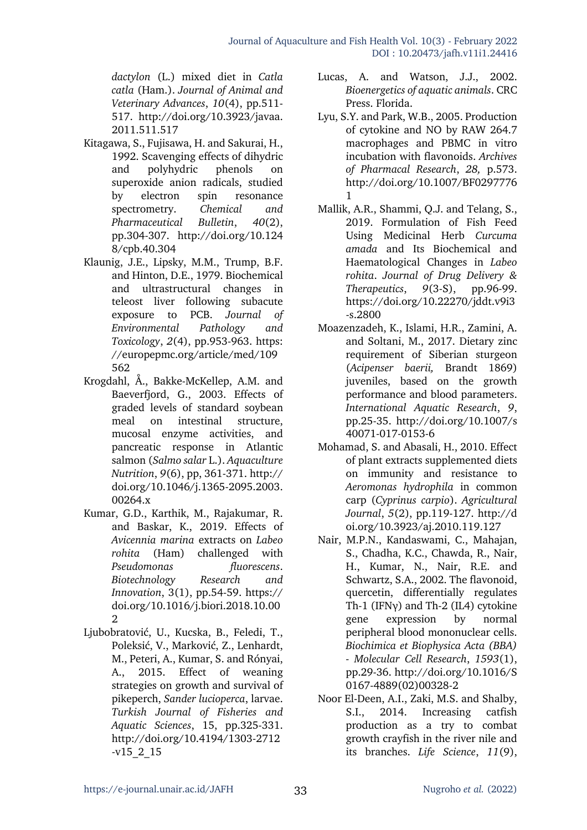*dactylon* (L.) mixed diet in *Catla catla* (Ham.). *Journal of Animal and Veterinary Advances*, *10*(4), pp.511- 517. http://doi.org/10.3923/javaa. 2011.511.517

- Kitagawa, S., Fujisawa, H. and Sakurai, H., 1992. Scavenging effects of dihydric and polyhydric phenols on superoxide anion radicals, studied by electron spin resonance spectrometry. *Chemical and Pharmaceutical Bulletin*, *40*(2), pp.304-307. http://doi.org/10.124 8/cpb.40.304
- Klaunig, J.E., Lipsky, M.M., Trump, B.F. and Hinton, D.E., 1979. Biochemical and ultrastructural changes in teleost liver following subacute exposure to PCB. *Journal of Environmental Pathology and Toxicology*, *2*(4), pp.953-963. https: //europepmc.org/article/med/109 562
- Krogdahl, Å., Bakke-McKellep, A.M. and Baeverfjord, G., 2003. Effects of graded levels of standard soybean meal on intestinal structure, mucosal enzyme activities, and pancreatic response in Atlantic salmon (*Salmo salar* L.). *Aquaculture Nutrition*, *9*(6), pp, 361-371. http:// doi.org/10.1046/j.1365-2095.2003. 00264.x
- Kumar, G.D., Karthik, M., Rajakumar, R. and Baskar, K., 2019. Effects of *Avicennia marina* extracts on *Labeo rohita* (Ham) challenged with *Pseudomonas fluorescens*. *Biotechnology Research and Innovation*, 3(1), pp.54-59. https:// doi.org/10.1016/j.biori.2018.10.00 2
- Ljubobratović, U., Kucska, B., Feledi, T., Poleksić, V., Marković, Z., Lenhardt, M., Peteri, A., Kumar, S. and Rónyai, A., 2015. Effect of weaning strategies on growth and survival of pikeperch, *Sander lucioperca*, larvae. *Turkish Journal of Fisheries and Aquatic Sciences*, 15, pp.325-331. http://doi.org/10.4194/1303-2712 -v15\_2\_15
- Lucas, A. and Watson, J.J., 2002. *Bioenergetics of aquatic animals*. CRC Press. Florida.
- Lyu, S.Y. and Park, W.B., 2005. Production of cytokine and NO by RAW 264.7 macrophages and PBMC in vitro incubation with flavonoids. *Archives of Pharmacal Research*, *28,* p.573. http://doi.org/10.1007/BF0297776 1
- Mallik, A.R., Shammi, Q.J. and Telang, S., 2019. Formulation of Fish Feed Using Medicinal Herb *Curcuma amada* and Its Biochemical and Haematological Changes in *Labeo rohita*. *Journal of Drug Delivery & Therapeutics*, *9*(3-S), pp.96-99. https://doi.org/10.22270/jddt.v9i3 -s.2800
- Moazenzadeh, K., Islami, H.R., Zamini, A. and Soltani, M., 2017. Dietary zinc requirement of Siberian sturgeon (*Acipenser baerii,* Brandt 1869) juveniles, based on the growth performance and blood parameters. *International Aquatic Research*, *9*, pp.25-35. http://doi.org/10.1007/s 40071-017-0153-6
- Mohamad, S. and Abasali, H., 2010. Effect of plant extracts supplemented diets on immunity and resistance to *Aeromonas hydrophila* in common carp (*Cyprinus carpio*). *Agricultural Journal*, *5*(2), pp.119-127. http://d oi.org/10.3923/aj.2010.119.127
- Nair, M.P.N., Kandaswami, C., Mahajan, S., Chadha, K.C., Chawda, R., Nair, H., Kumar, N., Nair, R.E. and Schwartz, S.A., 2002. The flavonoid, quercetin, differentially regulates Th-1 (IFNγ) and Th-2 (IL4) cytokine gene expression by normal peripheral blood mononuclear cells. *Biochimica et Biophysica Acta (BBA) - Molecular Cell Research*, *1593*(1), pp.29-36. http://doi.org/10.1016/S 0167-4889(02)00328-2
- Noor El-Deen, A.I., Zaki, M.S. and Shalby, S.I., 2014. Increasing catfish production as a try to combat growth crayfish in the river nile and its branches. *Life Science*, *11*(9),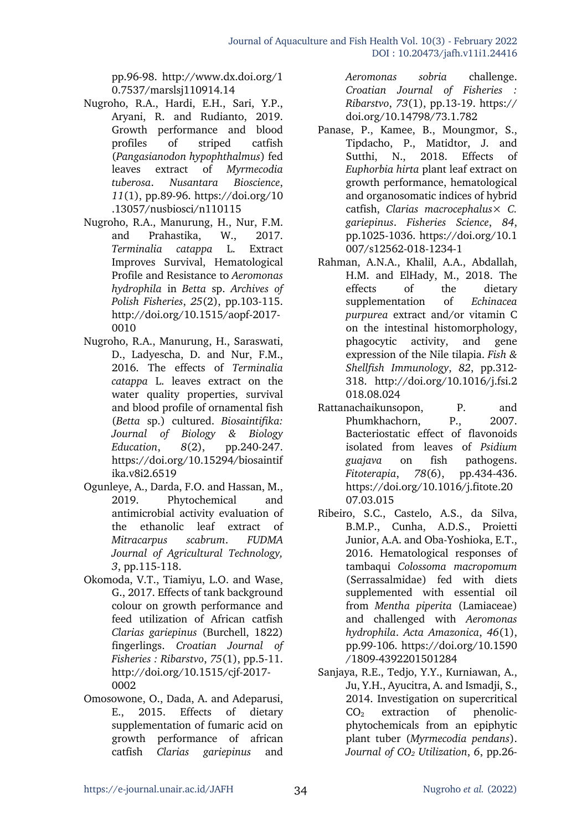pp.96-98. http://www.dx.doi.org/1 0.7537/marslsj110914.14

- Nugroho, R.A., Hardi, E.H., Sari, Y.P., Aryani, R. and Rudianto, 2019. Growth performance and blood profiles of striped catfish (*Pangasianodon hypophthalmus*) fed leaves extract of *Myrmecodia tuberosa*. *Nusantara Bioscience*, *11*(1), pp.89-96. https://doi.org/10 .13057/nusbiosci/n110115
- Nugroho, R.A., Manurung, H., Nur, F.M. and Prahastika, W., 2017. *Terminalia catappa* L. Extract Improves Survival, Hematological Profile and Resistance to *Aeromonas hydrophila* in *Betta* sp. *Archives of Polish Fisheries*, *25*(2), pp.103-115. http://doi.org/10.1515/aopf-2017- 0010
- Nugroho, R.A., Manurung, H., Saraswati, D., Ladyescha, D. and Nur, F.M., 2016. The effects of *Terminalia catappa* L. leaves extract on the water quality properties, survival and blood profile of ornamental fish (*Betta* sp.) cultured. *Biosaintifika: Journal of Biology & Biology Education*, *8*(2), pp.240-247. https://doi.org/10.15294/biosaintif ika.v8i2.6519
- Ogunleye, A., Darda, F.O. and Hassan, M., 2019. Phytochemical and antimicrobial activity evaluation of the ethanolic leaf extract of *Mitracarpus scabrum*. *FUDMA Journal of Agricultural Technology, 3*, pp.115-118.
- Okomoda, V.T., Tiamiyu, L.O. and Wase, G., 2017. Effects of tank background colour on growth performance and feed utilization of African catfish *Clarias gariepinus* (Burchell, 1822) fingerlings. *Croatian Journal of Fisheries : Ribarstvo*, *75*(1), pp.5-11. http://doi.org/10.1515/cjf-2017- 0002
- Omosowone, O., Dada, A. and Adeparusi, E., 2015. Effects of dietary supplementation of fumaric acid on growth performance of african catfish *Clarias gariepinus* and

*Aeromonas sobria* challenge. *Croatian Journal of Fisheries : Ribarstvo*, *73*(1), pp.13-19. https:// doi.org/10.14798/73.1.782

- Panase, P., Kamee, B., Moungmor, S., Tipdacho, P., Matidtor, J. and Sutthi, N., 2018. Effects of *Euphorbia hirta* plant leaf extract on growth performance, hematological and organosomatic indices of hybrid catfish, *Clarias macrocephalus*× *C. gariepinus*. *Fisheries Science*, *84*, pp.1025-1036. https://doi.org/10.1 007/s12562-018-1234-1
- Rahman, A.N.A., Khalil, A.A., Abdallah, H.M. and ElHady, M., 2018. The effects of the dietary supplementation of *Echinacea purpurea* extract and/or vitamin C on the intestinal histomorphology, phagocytic activity, and gene expression of the Nile tilapia. *Fish & Shellfish Immunology*, *82*, pp.312- 318. http://doi.org/10.1016/j.fsi.2 018.08.024
- Rattanachaikunsopon, P. and Phumkhachorn, P., 2007. Bacteriostatic effect of flavonoids isolated from leaves of *Psidium guajava* on fish pathogens. *Fitoterapia*, *78*(6), pp.434-436. https://doi.org/10.1016/j.fitote.20 07.03.015
- Ribeiro, S.C., Castelo, A.S., da Silva, B.M.P., Cunha, A.D.S., Proietti Junior, A.A. and Oba-Yoshioka, E.T., 2016. Hematological responses of tambaqui *Colossoma macropomum* (Serrassalmidae) fed with diets supplemented with essential oil from *Mentha piperita* (Lamiaceae) and challenged with *Aeromonas hydrophila*. *Acta Amazonica*, *46*(1), pp.99-106. https://doi.org/10.1590 /1809-4392201501284
- Sanjaya, R.E., Tedjo, Y.Y., Kurniawan, A., Ju, Y.H., Ayucitra, A. and Ismadji, S., 2014. Investigation on supercritical  $CO<sub>2</sub>$  extraction of phenolicphytochemicals from an epiphytic plant tuber (*Myrmecodia pendans*). *Journal of CO2 Utilization*, *6*, pp.26-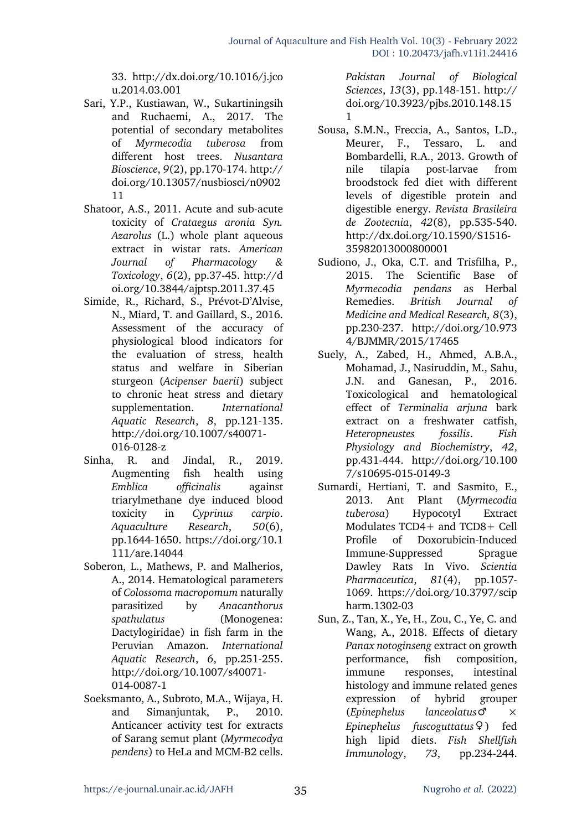33. http://dx.doi.org/10.1016/j.jco u.2014.03.001

- Sari, Y.P., Kustiawan, W., Sukartiningsih and Ruchaemi, A., 2017. The potential of secondary metabolites of *Myrmecodia tuberosa* from different host trees. *Nusantara Bioscience*, *9*(2), pp.170-174. http:// doi.org/10.13057/nusbiosci/n0902 11
- Shatoor, A.S., 2011. Acute and sub-acute toxicity of *Crataegus aronia Syn. Azarolus* (L.) whole plant aqueous extract in wistar rats. *American Journal of Pharmacology & Toxicology*, *6*(2), pp.37-45. http://d oi.org/10.3844/ajptsp.2011.37.45
- Simide, R., Richard, S., Prévot-D'Alvise, N., Miard, T. and Gaillard, S., 2016. Assessment of the accuracy of physiological blood indicators for the evaluation of stress, health status and welfare in Siberian sturgeon (*Acipenser baerii*) subject to chronic heat stress and dietary supplementation. *International Aquatic Research*, *8*, pp.121-135. http://doi.org/10.1007/s40071- 016-0128-z
- Sinha, R. and Jindal, R., 2019. Augmenting fish health using *Emblica officinalis* against triarylmethane dye induced blood toxicity in *Cyprinus carpio*. *Aquaculture Research*, *50*(6), pp.1644-1650. https://doi.org/10.1 111/are.14044
- Soberon, L., Mathews, P. and Malherios, A., 2014. Hematological parameters of *Colossoma macropomum* naturally parasitized by *Anacanthorus spathulatus* (Monogenea: Dactylogiridae) in fish farm in the Peruvian Amazon. *International Aquatic Research*, *6*, pp.251-255. http://doi.org/10.1007/s40071- 014-0087-1
- Soeksmanto, A., Subroto, M.A., Wijaya, H. and Simanjuntak, P., 2010. Anticancer activity test for extracts of Sarang semut plant (*Myrmecodya pendens*) to HeLa and MCM-B2 cells.

*Pakistan Journal of Biological Sciences*, *13*(3), pp.148-151. http:// doi.org/10.3923/pjbs.2010.148.15 1

- Sousa, S.M.N., Freccia, A., Santos, L.D., Meurer, F., Tessaro, L. and Bombardelli, R.A., 2013. Growth of nile tilapia post-larvae from broodstock fed diet with different levels of digestible protein and digestible energy. *Revista Brasileira de Zootecnia*, *42*(8), pp.535-540. http://dx.doi.org/10.1590/S1516- 35982013000800001
- Sudiono, J., Oka, C.T. and Trisfilha, P., 2015. The Scientific Base of *Myrmecodia pendans* as Herbal Remedies. *British Journal of Medicine and Medical Research, 8*(3), pp.230-237. http://doi.org/10.973 4/BJMMR/2015/17465
- Suely, A., Zabed, H., Ahmed, A.B.A., Mohamad, J., Nasiruddin, M., Sahu, J.N. and Ganesan, P., 2016. Toxicological and hematological effect of *Terminalia arjuna* bark extract on a freshwater catfish, *Heteropneustes fossilis*. *Fish Physiology and Biochemistry*, *42*, pp.431-444. http://doi.org/10.100 7/s10695-015-0149-3
- Sumardi, Hertiani, T. and Sasmito, E., 2013. Ant Plant (*Myrmecodia tuberosa*) Hypocotyl Extract Modulates TCD4+ and TCD8+ Cell Profile of Doxorubicin-Induced Immune-Suppressed Sprague Dawley Rats In Vivo. *Scientia Pharmaceutica*, *81*(4), pp.1057- 1069. https://doi.org/10.3797/scip harm.1302-03
- Sun, Z., Tan, X., Ye, H., Zou, C., Ye, C. and Wang, A., 2018. Effects of dietary *Panax notoginseng* extract on growth performance, fish composition, immune responses, intestinal histology and immune related genes expression of hybrid grouper (*Epinephelus lanceolatus*♂ × *Epinephelus fuscoguttatus*♀) fed high lipid diets. *Fish Shellfish Immunology*, *73*, pp.234-244.